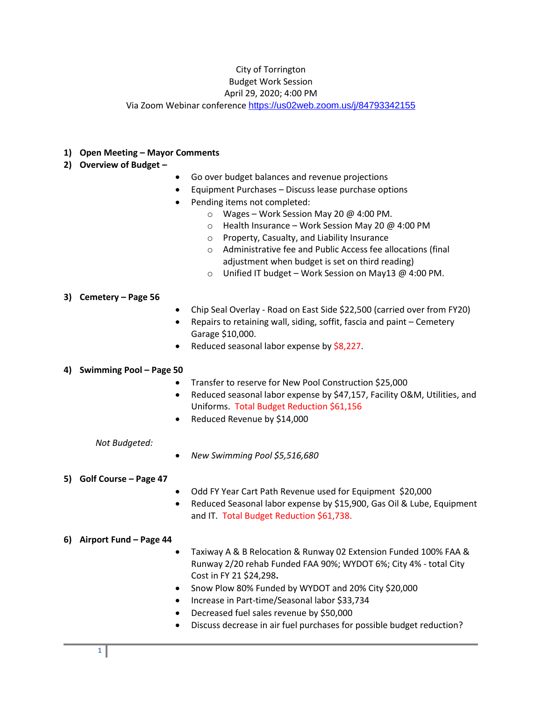### City of Torrington Budget Work Session

## April 29, 2020; 4:00 PM

Via Zoom Webinar conference <https://us02web.zoom.us/j/84793342155>

## **1) Open Meeting – Mayor Comments**

- **2) Overview of Budget –**
- Go over budget balances and revenue projections
- Equipment Purchases Discuss lease purchase options
- Pending items not completed:
	- o Wages Work Session May 20 @ 4:00 PM.
	- o Health Insurance Work Session May 20 @ 4:00 PM
	- o Property, Casualty, and Liability Insurance
	- o Administrative fee and Public Access fee allocations (final adjustment when budget is set on third reading)
	- o Unified IT budget Work Session on May13 @ 4:00 PM.

### **3) Cemetery – Page 56**

- Chip Seal Overlay Road on East Side \$22,500 (carried over from FY20)
- Repairs to retaining wall, siding, soffit, fascia and paint Cemetery Garage \$10,000.
- Reduced seasonal labor expense by \$8,227.

# **4) Swimming Pool – Page 50**

- Transfer to reserve for New Pool Construction \$25,000
- Reduced seasonal labor expense by \$47,157, Facility O&M, Utilities, and Uniforms. Total Budget Reduction \$61,156
- Reduced Revenue by \$14,000

### *Not Budgeted:*

*New Swimming Pool \$5,516,680*

# **5) Golf Course – Page 47**

- Odd FY Year Cart Path Revenue used for Equipment \$20,000
- Reduced Seasonal labor expense by \$15,900, Gas Oil & Lube, Equipment and IT. Total Budget Reduction \$61,738.

# **6) Airport Fund – Page 44**

- Taxiway A & B Relocation & Runway 02 Extension Funded 100% FAA & Runway 2/20 rehab Funded FAA 90%; WYDOT 6%; City 4% - total City Cost in FY 21 \$24,298**.**
- Snow Plow 80% Funded by WYDOT and 20% City \$20,000
- Increase in Part-time/Seasonal labor \$33,734
- Decreased fuel sales revenue by \$50,000
- Discuss decrease in air fuel purchases for possible budget reduction?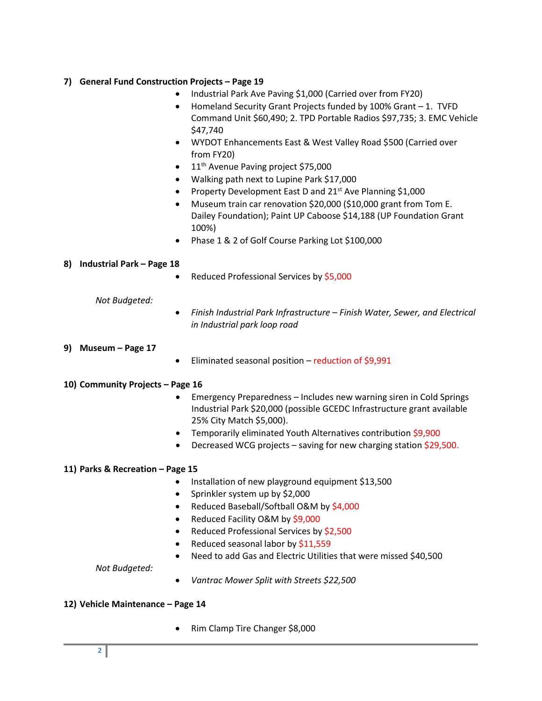# **7) General Fund Construction Projects – Page 19**

- Industrial Park Ave Paving \$1,000 (Carried over from FY20)
- Homeland Security Grant Projects funded by 100% Grant 1. TVFD Command Unit \$60,490; 2. TPD Portable Radios \$97,735; 3. EMC Vehicle \$47,740
- WYDOT Enhancements East & West Valley Road \$500 (Carried over from FY20)
- $\bullet$  11<sup>th</sup> Avenue Paving project \$75,000
- Walking path next to Lupine Park \$17,000
- Property Development East D and  $21^{st}$  Ave Planning \$1,000
- Museum train car renovation \$20,000 (\$10,000 grant from Tom E. Dailey Foundation); Paint UP Caboose \$14,188 (UP Foundation Grant 100%)
- Phase 1 & 2 of Golf Course Parking Lot \$100,000

### **8) Industrial Park – Page 18**

• Reduced Professional Services by \$5,000

### *Not Budgeted:*

 *Finish Industrial Park Infrastructure – Finish Water, Sewer, and Electrical in Industrial park loop road*

### **9) Museum – Page 17**

Eliminated seasonal position – reduction of \$9,991

# **10) Community Projects – Page 16**

- Emergency Preparedness Includes new warning siren in Cold Springs Industrial Park \$20,000 (possible GCEDC Infrastructure grant available 25% City Match \$5,000).
- Temporarily eliminated Youth Alternatives contribution \$9,900
- Decreased WCG projects saving for new charging station \$29,500.

# **11) Parks & Recreation – Page 15**

- Installation of new playground equipment \$13,500
- Sprinkler system up by \$2,000
- Reduced Baseball/Softball O&M by \$4,000
- Reduced Facility O&M by \$9,000
- Reduced Professional Services by \$2,500
- Reduced seasonal labor by \$11,559
- Need to add Gas and Electric Utilities that were missed \$40,500

*Not Budgeted:*

*Vantrac Mower Split with Streets \$22,500*

### **12) Vehicle Maintenance – Page 14**

Rim Clamp Tire Changer \$8,000